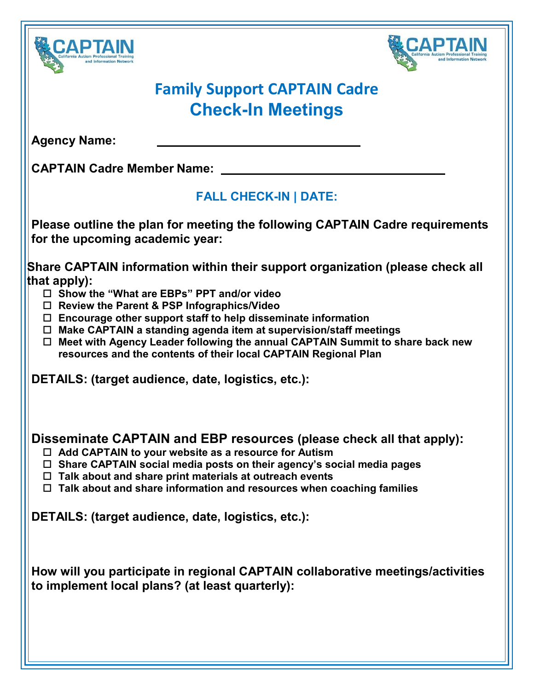



## **Family Support CAPTAIN Cadre Check-In Meetings**

**Agency Name:**

**CAPTAIN Cadre Member Name:** 

## **FALL CHECK-IN | DATE:**

**Please outline the plan for meeting the following CAPTAIN Cadre requirements for the upcoming academic year:**

**Share CAPTAIN information within their support organization (please check all that apply):**

- **Show the "What are EBPs" PPT and/or video**
- **Review the Parent & PSP Infographics/Video**
- **Encourage other support staff to help disseminate information**
- **Make CAPTAIN a standing agenda item at supervision/staff meetings**
- **Meet with Agency Leader following the annual CAPTAIN Summit to share back new resources and the contents of their local CAPTAIN Regional Plan**

**DETAILS: (target audience, date, logistics, etc.):**

## **Disseminate CAPTAIN and EBP resources (please check all that apply):**

- **Add CAPTAIN to your website as a resource for Autism**
- **Share CAPTAIN social media posts on their agency's social media pages**
- **Talk about and share print materials at outreach events**
- **Talk about and share information and resources when coaching families**

**DETAILS: (target audience, date, logistics, etc.):**

**How will you participate in regional CAPTAIN collaborative meetings/activities to implement local plans? (at least quarterly):**